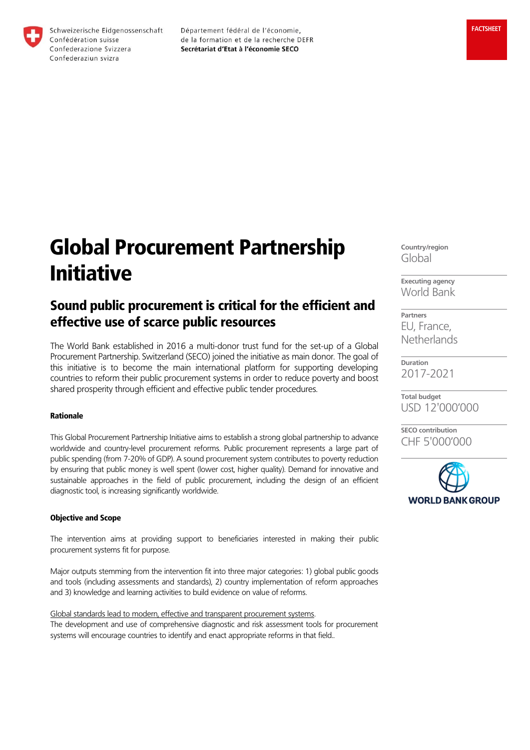

Département fédéral de l'économie, de la formation et de la recherche DEFR Secrétariat d'Etat à l'économie SECO

# Global Procurement Partnership Initiative

# Sound public procurement is critical for the efficient and effective use of scarce public resources

The World Bank established in 2016 a multi-donor trust fund for the set-up of a Global Procurement Partnership. Switzerland (SECO) joined the initiative as main donor. The goal of this initiative is to become the main international platform for supporting developing countries to reform their public procurement systems in order to reduce poverty and boost shared prosperity through efficient and effective public tender procedures.

## Rationale

This Global Procurement Partnership Initiative aims to establish a strong global partnership to advance worldwide and country-level procurement reforms. Public procurement represents a large part of public spending (from 7-20% of GDP). A sound procurement system contributes to poverty reduction by ensuring that public money is well spent (lower cost, higher quality). Demand for innovative and sustainable approaches in the field of public procurement, including the design of an efficient diagnostic tool, is increasing significantly worldwide.

## Objective and Scope

The intervention aims at providing support to beneficiaries interested in making their public procurement systems fit for purpose.

Major outputs stemming from the intervention fit into three major categories: 1) global public goods and tools (including assessments and standards), 2) country implementation of reform approaches and 3) knowledge and learning activities to build evidence on value of reforms.

Global standards lead to modern, effective and transparent procurement systems.

The development and use of comprehensive diagnostic and risk assessment tools for procurement systems will encourage countries to identify and enact appropriate reforms in that field..

**Country/region** Global

**Executing agency** World Bank

**Partners** EU, France, **Netherlands** 

**Duration** 2017-2021

**Total budget** USD 12'000'000

**SECO contribution** CHF 5'000'000